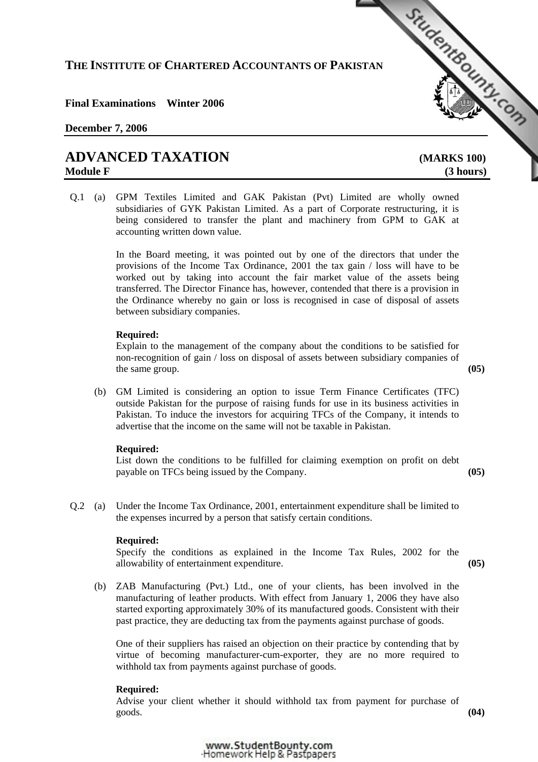# **THE INSTITUTE OF CHARTERED ACCOUNTANTS OF PAKISTAN**  THE INSTITUTE OF CHARTERED ACCOUNTANTS OF PARTY OF ALL THE INSTITUTE OF CHARTERED ACCOUNTANTS OF PARTY OF ALL THE STRINGED TO THE STRINGED TO A VALUE OF A VALUE OF A VALUE OF A VALUE OF A VALUE OF A VALUE OF A VALUE OF A V

# **Final Examinations Winter 2006**

# **December 7, 2006**

# **Module F** (3 hours)

Q.1 (a) GPM Textiles Limited and GAK Pakistan (Pvt) Limited are wholly owned subsidiaries of GYK Pakistan Limited. As a part of Corporate restructuring, it is being considered to transfer the plant and machinery from GPM to GAK at accounting written down value.

> In the Board meeting, it was pointed out by one of the directors that under the provisions of the Income Tax Ordinance, 2001 the tax gain / loss will have to be worked out by taking into account the fair market value of the assets being transferred. The Director Finance has, however, contended that there is a provision in the Ordinance whereby no gain or loss is recognised in case of disposal of assets between subsidiary companies.

# **Required:**

Explain to the management of the company about the conditions to be satisfied for non-recognition of gain / loss on disposal of assets between subsidiary companies of the same group. **(05)** (05)

 (b) GM Limited is considering an option to issue Term Finance Certificates (TFC) outside Pakistan for the purpose of raising funds for use in its business activities in Pakistan. To induce the investors for acquiring TFCs of the Company, it intends to advertise that the income on the same will not be taxable in Pakistan.

#### **Required:**

List down the conditions to be fulfilled for claiming exemption on profit on debt payable on TFCs being issued by the Company. **(05)**

Q.2 (a) Under the Income Tax Ordinance, 2001, entertainment expenditure shall be limited to the expenses incurred by a person that satisfy certain conditions.

#### **Required:**

Specify the conditions as explained in the Income Tax Rules, 2002 for the allowability of entertainment expenditure. **(05)**

 (b) ZAB Manufacturing (Pvt.) Ltd., one of your clients, has been involved in the manufacturing of leather products. With effect from January 1, 2006 they have also started exporting approximately 30% of its manufactured goods. Consistent with their past practice, they are deducting tax from the payments against purchase of goods.

One of their suppliers has raised an objection on their practice by contending that by virtue of becoming manufacturer-cum-exporter, they are no more required to withhold tax from payments against purchase of goods.

#### **Required:**

Advise your client whether it should withhold tax from payment for purchase of goods. **(04)**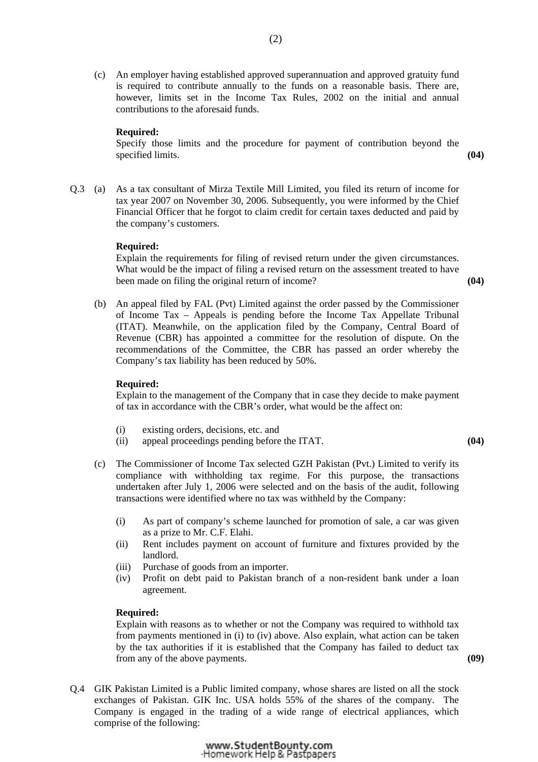(c) An employer having established approved superannuation and approved gratuity fund is required to contribute annually to the funds on a reasonable basis. There are, however, limits set in the Income Tax Rules, 2002 on the initial and annual contributions to the aforesaid funds.

# **Required:**

Specify those limits and the procedure for payment of contribution beyond the specified limits. **(04)** specified limits.

Q.3 (a) As a tax consultant of Mirza Textile Mill Limited, you filed its return of income for tax year 2007 on November 30, 2006. Subsequently, you were informed by the Chief Financial Officer that he forgot to claim credit for certain taxes deducted and paid by the company's customers.

#### **Required:**

Explain the requirements for filing of revised return under the given circumstances. What would be the impact of filing a revised return on the assessment treated to have been made on filing the original return of income? **(04)**

 (b) An appeal filed by FAL (Pvt) Limited against the order passed by the Commissioner of Income Tax – Appeals is pending before the Income Tax Appellate Tribunal (ITAT). Meanwhile, on the application filed by the Company, Central Board of Revenue (CBR) has appointed a committee for the resolution of dispute. On the recommendations of the Committee, the CBR has passed an order whereby the Company's tax liability has been reduced by 50%.

#### **Required:**

Explain to the management of the Company that in case they decide to make payment of tax in accordance with the CBR's order, what would be the affect on:

- (i) existing orders, decisions, etc. and
- (ii) appeal proceedings pending before the ITAT. **(04)**
- (c) The Commissioner of Income Tax selected GZH Pakistan (Pvt.) Limited to verify its compliance with withholding tax regime. For this purpose, the transactions undertaken after July 1, 2006 were selected and on the basis of the audit, following transactions were identified where no tax was withheld by the Company:
	- (i) As part of company's scheme launched for promotion of sale, a car was given as a prize to Mr. C.F. Elahi.
	- (ii) Rent includes payment on account of furniture and fixtures provided by the landlord.
	- (iii) Purchase of goods from an importer.
	- (iv) Profit on debt paid to Pakistan branch of a non-resident bank under a loan agreement.

#### **Required:**

Explain with reasons as to whether or not the Company was required to withhold tax from payments mentioned in (i) to (iv) above. Also explain, what action can be taken by the tax authorities if it is established that the Company has failed to deduct tax from any of the above payments. **(09)**

- 
- Q.4 GIK Pakistan Limited is a Public limited company, whose shares are listed on all the stock exchanges of Pakistan. GIK Inc. USA holds 55% of the shares of the company. The Company is engaged in the trading of a wide range of electrical appliances, which comprise of the following:

www.StudentBounty.com Homework Help & Pastpapers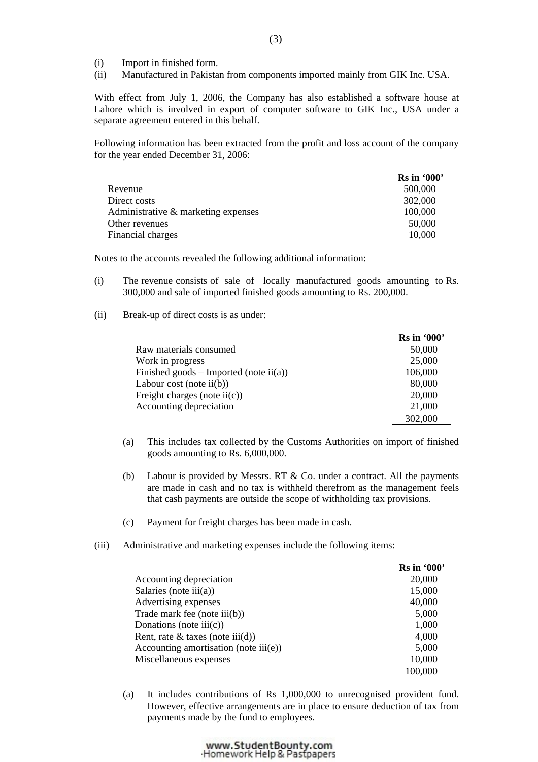- (i) Import in finished form.
- (ii) Manufactured in Pakistan from components imported mainly from GIK Inc. USA.

With effect from July 1, 2006, the Company has also established a software house at Lahore which is involved in export of computer software to GIK Inc., USA under a separate agreement entered in this behalf.

Following information has been extracted from the profit and loss account of the company for the year ended December 31, 2006:

|                                     | $\operatorname{Rs}$ in '000' |
|-------------------------------------|------------------------------|
| Revenue                             | 500,000                      |
| Direct costs                        | 302,000                      |
| Administrative & marketing expenses | 100,000                      |
| Other revenues                      | 50,000                       |
| Financial charges                   | 10,000                       |

Notes to the accounts revealed the following additional information:

- (i) The revenue consists of sale of locally manufactured goods amounting to Rs. 300,000 and sale of imported finished goods amounting to Rs. 200,000.
- (ii) Break-up of direct costs is as under:

|                                                  | $\operatorname{Rs}$ in '000' |
|--------------------------------------------------|------------------------------|
| Raw materials consumed                           | 50,000                       |
| Work in progress                                 | 25,000                       |
| Finished goods – Imported (note $\text{ii}(a)$ ) | 106,000                      |
| Labour cost (note $ii(b)$ )                      | 80,000                       |
| Freight charges (note $\text{ii}(c)$ )           | 20,000                       |
| Accounting depreciation                          | 21,000                       |
|                                                  | 302,000                      |

- (a) This includes tax collected by the Customs Authorities on import of finished goods amounting to Rs. 6,000,000.
- (b) Labour is provided by Messrs. RT & Co. under a contract. All the payments are made in cash and no tax is withheld therefrom as the management feels that cash payments are outside the scope of withholding tax provisions.
- (c) Payment for freight charges has been made in cash.
- (iii) Administrative and marketing expenses include the following items:

|                                                 | <b>Rs</b> in '000' |
|-------------------------------------------------|--------------------|
| Accounting depreciation                         | 20,000             |
| Salaries (note $iii(a)$ )                       | 15,000             |
| Advertising expenses                            | 40,000             |
| Trade mark fee (note iii(b))                    | 5,000              |
| Donations (note $\text{iii}(c)$ )               | 1,000              |
| Rent, rate $\&$ taxes (note iii(d))             | 4,000              |
| Accounting amortisation (note $\text{iii}(e)$ ) | 5,000              |
| Miscellaneous expenses                          | 10,000             |
|                                                 | 100,000            |

 (a) It includes contributions of Rs 1,000,000 to unrecognised provident fund. However, effective arrangements are in place to ensure deduction of tax from payments made by the fund to employees.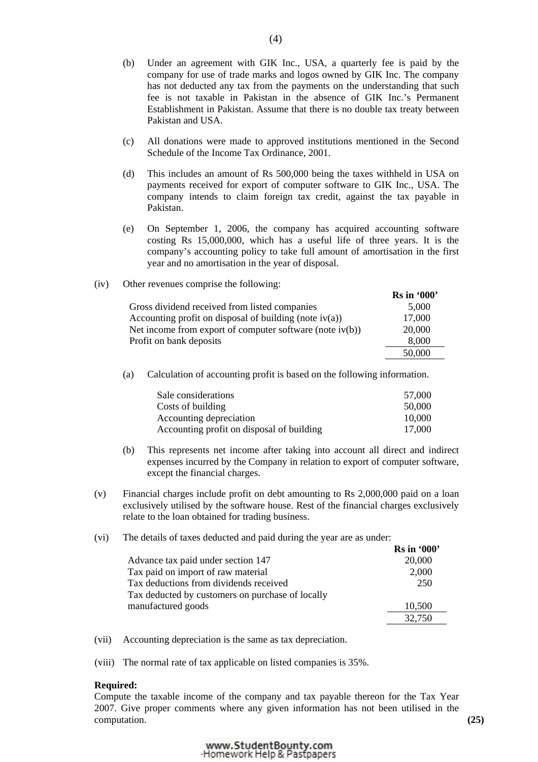- (b) Under an agreement with GIK Inc., USA, a quarterly fee is paid by the company for use of trade marks and logos owned by GIK Inc. The company has not deducted any tax from the payments on the understanding that such fee is not taxable in Pakistan in the absence of GIK Inc.'s Permanent Establishment in Pakistan. Assume that there is no double tax treaty between Pakistan and USA.
- (c) All donations were made to approved institutions mentioned in the Second Schedule of the Income Tax Ordinance, 2001.
- (d) This includes an amount of Rs 500,000 being the taxes withheld in USA on payments received for export of computer software to GIK Inc., USA. The company intends to claim foreign tax credit, against the tax payable in Pakistan.
- (e) On September 1, 2006, the company has acquired accounting software costing Rs 15,000,000, which has a useful life of three years. It is the company's accounting policy to take full amount of amortisation in the first year and no amortisation in the year of disposal.
- (iv) Other revenues comprise the following:

|                                                             | <b>Rs</b> in '000' |
|-------------------------------------------------------------|--------------------|
| Gross dividend received from listed companies               | 5,000              |
| Accounting profit on disposal of building (note $iv(a)$ )   | 17,000             |
| Net income from export of computer software (note $iv(b)$ ) | 20,000             |
| Profit on bank deposits                                     | 8,000              |
|                                                             | 50,000             |

(a) Calculation of accounting profit is based on the following information.

| Sale considerations                       | 57,000 |
|-------------------------------------------|--------|
| Costs of building                         | 50,000 |
| Accounting depreciation                   | 10.000 |
| Accounting profit on disposal of building | 17.000 |

- (b) This represents net income after taking into account all direct and indirect expenses incurred by the Company in relation to export of computer software, except the financial charges.
- (v) Financial charges include profit on debt amounting to Rs 2,000,000 paid on a loan exclusively utilised by the software house. Rest of the financial charges exclusively relate to the loan obtained for trading business.
- (vi) The details of taxes deducted and paid during the year are as under:

|                                                  | <b>Rs</b> in '000' |
|--------------------------------------------------|--------------------|
| Advance tax paid under section 147               | 20,000             |
| Tax paid on import of raw material               | 2,000              |
| Tax deductions from dividends received           | 250                |
| Tax deducted by customers on purchase of locally |                    |
| manufactured goods                               | 10,500             |
|                                                  | 32,750             |

- (vii) Accounting depreciation is the same as tax depreciation.
- (viii) The normal rate of tax applicable on listed companies is 35%.

#### **Required:**

Compute the taxable income of the company and tax payable thereon for the Tax Year 2007. Give proper comments where any given information has not been utilised in the computation. **(25)**